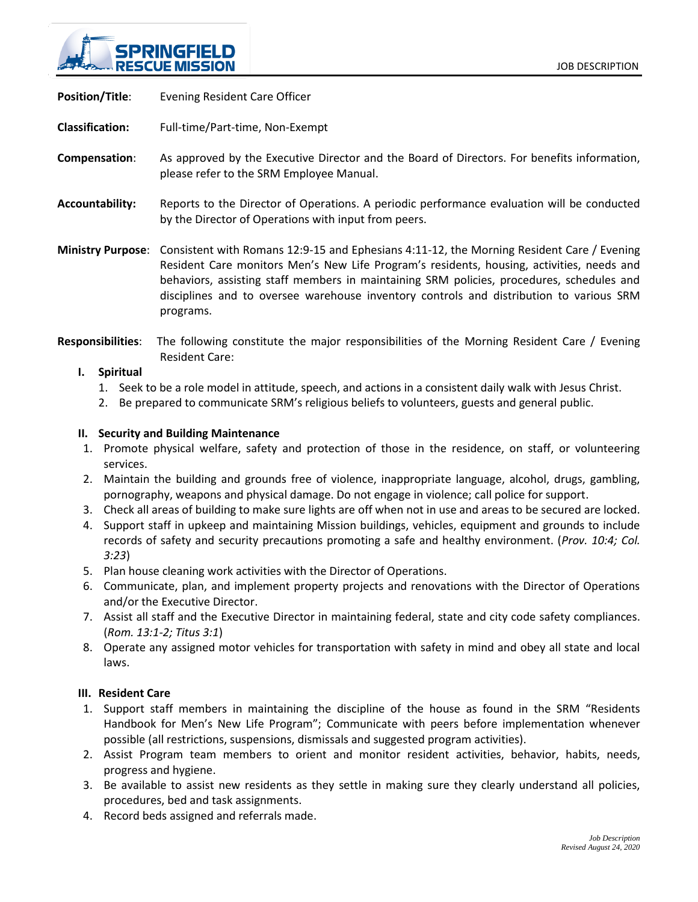

**Position/Title**: Evening Resident Care Officer

**Classification:** Full-time/Part-time, Non-Exempt

- **Compensation**: As approved by the Executive Director and the Board of Directors. For benefits information, please refer to the SRM Employee Manual.
- **Accountability:** Reports to the Director of Operations. A periodic performance evaluation will be conducted by the Director of Operations with input from peers.

**Ministry Purpose**: Consistent with Romans 12:9-15 and Ephesians 4:11-12, the Morning Resident Care / Evening Resident Care monitors Men's New Life Program's residents, housing, activities, needs and behaviors, assisting staff members in maintaining SRM policies, procedures, schedules and disciplines and to oversee warehouse inventory controls and distribution to various SRM programs.

**Responsibilities**: The following constitute the major responsibilities of the Morning Resident Care / Evening Resident Care:

### **I. Spiritual**

- 1. Seek to be a role model in attitude, speech, and actions in a consistent daily walk with Jesus Christ.
- 2. Be prepared to communicate SRM's religious beliefs to volunteers, guests and general public.

#### **II. Security and Building Maintenance**

- 1. Promote physical welfare, safety and protection of those in the residence, on staff, or volunteering services.
- 2. Maintain the building and grounds free of violence, inappropriate language, alcohol, drugs, gambling, pornography, weapons and physical damage. Do not engage in violence; call police for support.
- 3. Check all areas of building to make sure lights are off when not in use and areas to be secured are locked.
- 4. Support staff in upkeep and maintaining Mission buildings, vehicles, equipment and grounds to include records of safety and security precautions promoting a safe and healthy environment. (*Prov. 10:4; Col. 3:23*)
- 5. Plan house cleaning work activities with the Director of Operations.
- 6. Communicate, plan, and implement property projects and renovations with the Director of Operations and/or the Executive Director.
- 7. Assist all staff and the Executive Director in maintaining federal, state and city code safety compliances. (*Rom. 13:1-2; Titus 3:1*)
- 8. Operate any assigned motor vehicles for transportation with safety in mind and obey all state and local laws.

#### **III. Resident Care**

- 1. Support staff members in maintaining the discipline of the house as found in the SRM "Residents Handbook for Men's New Life Program"; Communicate with peers before implementation whenever possible (all restrictions, suspensions, dismissals and suggested program activities).
- 2. Assist Program team members to orient and monitor resident activities, behavior, habits, needs, progress and hygiene.
- 3. Be available to assist new residents as they settle in making sure they clearly understand all policies, procedures, bed and task assignments.
- 4. Record beds assigned and referrals made.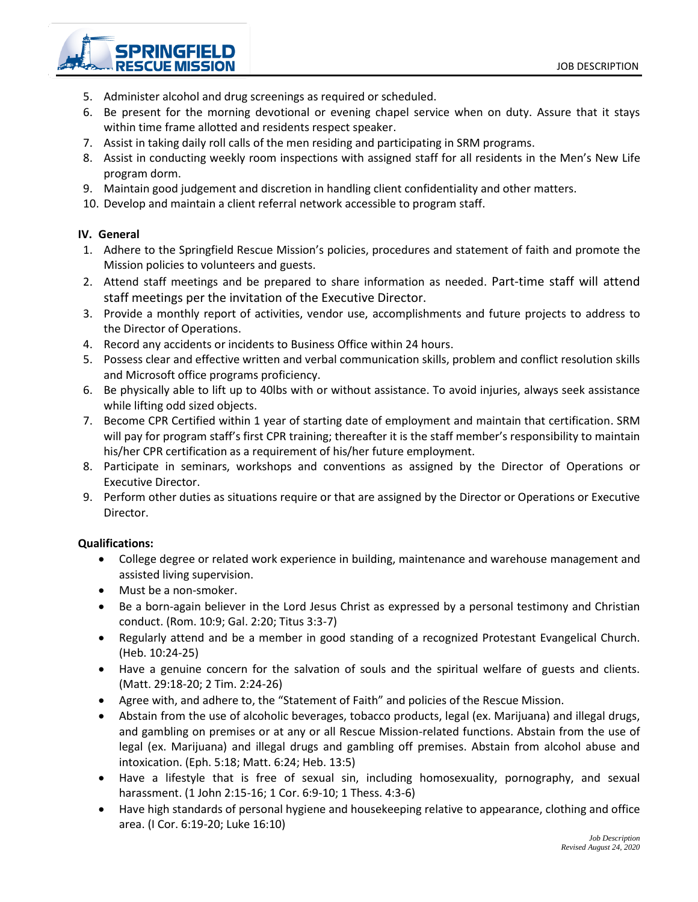SPRINGFIEI **RESCUE MISSION** 

- 5. Administer alcohol and drug screenings as required or scheduled.
- 6. Be present for the morning devotional or evening chapel service when on duty. Assure that it stays within time frame allotted and residents respect speaker.
- 7. Assist in taking daily roll calls of the men residing and participating in SRM programs.
- 8. Assist in conducting weekly room inspections with assigned staff for all residents in the Men's New Life program dorm.
- 9. Maintain good judgement and discretion in handling client confidentiality and other matters.
- 10. Develop and maintain a client referral network accessible to program staff.

## **IV. General**

- 1. Adhere to the Springfield Rescue Mission's policies, procedures and statement of faith and promote the Mission policies to volunteers and guests.
- 2. Attend staff meetings and be prepared to share information as needed. Part-time staff will attend staff meetings per the invitation of the Executive Director.
- 3. Provide a monthly report of activities, vendor use, accomplishments and future projects to address to the Director of Operations.
- 4. Record any accidents or incidents to Business Office within 24 hours.
- 5. Possess clear and effective written and verbal communication skills, problem and conflict resolution skills and Microsoft office programs proficiency.
- 6. Be physically able to lift up to 40lbs with or without assistance. To avoid injuries, always seek assistance while lifting odd sized objects.
- 7. Become CPR Certified within 1 year of starting date of employment and maintain that certification. SRM will pay for program staff's first CPR training; thereafter it is the staff member's responsibility to maintain his/her CPR certification as a requirement of his/her future employment.
- 8. Participate in seminars, workshops and conventions as assigned by the Director of Operations or Executive Director.
- 9. Perform other duties as situations require or that are assigned by the Director or Operations or Executive Director.

# **Qualifications:**

- College degree or related work experience in building, maintenance and warehouse management and assisted living supervision.
- Must be a non-smoker.
- Be a born-again believer in the Lord Jesus Christ as expressed by a personal testimony and Christian conduct. (Rom. 10:9; Gal. 2:20; Titus 3:3-7)
- Regularly attend and be a member in good standing of a recognized Protestant Evangelical Church. (Heb. 10:24-25)
- Have a genuine concern for the salvation of souls and the spiritual welfare of guests and clients. (Matt. 29:18-20; 2 Tim. 2:24-26)
- Agree with, and adhere to, the "Statement of Faith" and policies of the Rescue Mission.
- Abstain from the use of alcoholic beverages, tobacco products, legal (ex. Marijuana) and illegal drugs, and gambling on premises or at any or all Rescue Mission-related functions. Abstain from the use of legal (ex. Marijuana) and illegal drugs and gambling off premises. Abstain from alcohol abuse and intoxication. (Eph. 5:18; Matt. 6:24; Heb. 13:5)
- Have a lifestyle that is free of sexual sin, including homosexuality, pornography, and sexual harassment. (1 John 2:15-16; 1 Cor. 6:9-10; 1 Thess. 4:3-6)
- Have high standards of personal hygiene and housekeeping relative to appearance, clothing and office area. (I Cor. 6:19-20; Luke 16:10)